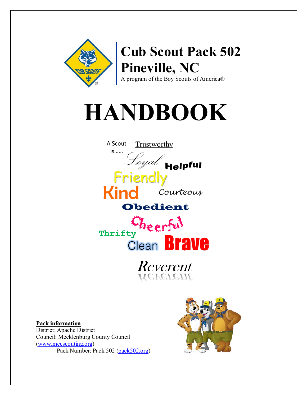

# **HANDBOOK**



**Pack information** District: Apache District Council: Mecklenburg County Council (www.mccscouting.org) Pack Number: Pack 502 (pack502.org)

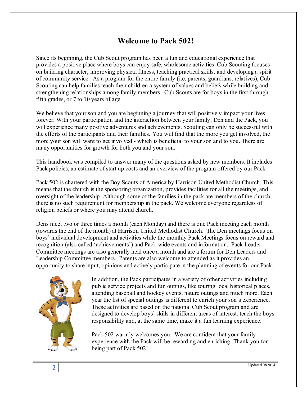## **Welcome to Pack 502!**

Since its beginning, the Cub Scout program has been a fun and educational experience that provides a positive place where boys can enjoy safe, wholesome activities. Cub Scouting focuses on building character, improving physical fitness, teaching practical skills, and developing a spirit of community service. As a program for the entire family (i.e. parents, guardians, relatives), Cub Scouting can help families teach their children a system of values and beliefs while building and strengthening relationships among family members. Cub Scouts are for boys in the first through fifth grades, or 7 to 10 years of age.

We believe that your son and you are beginning a journey that will positively impact your lives forever. With your participation and the interaction between your family, Den and the Pack, you will experience many positive adventures and achievements. Scouting can only be successful with the efforts of the participants and their families. You will find that the more you get involved, the more your son will want to get involved - which is beneficial to your son and to you. There are many opportunities for growth for both you and your son.

This handbook was compiled to answer many of the questions asked by new members. It includes Pack policies, an estimate of start up costs and an overview of the program offered by our Pack.

Pack 502 is chartered with the Boy Scouts of America by Harrison United Methodist Church. This means that the church is the sponsoring organization, provides facilities for all the meetings, and oversight of the leadership. Although some of the families in the pack are members of the church, there is no such requirement for membership in the pack. We welcome everyone regardless of religion beliefs or where you may attend church.

Dens meet two or three times a month (each Monday) and there is one Pack meeting each month (towards the end of the month) at Harrison United Methodist Church. The Den meetings focus on boys' individual development and activities while the monthly Pack Meetings focus on reward and recognition (also called 'achievements') and Pack-wide events and information. Pack Leader Committee meetings are also generally held once a month and are a forum for Den Leaders and Leadership Committee members. Parents are also welcome to attended as it provides an opportunity to share input, opinions and actively participate in the planning of events for our Pack.



In addition, the Pack participates in a variety of other activities including public service projects and fun outings, like touring local historical places, attending baseball and hockey events, nature outings and much more. Each year the list of special outings is different to enrich your son's experience. These activities are based on the national Cub Scout program and are designed to develop boys' skills in different areas of interest, teach the boys responsibility and, at the same time, make it a fun learning experience.

Pack 502 warmly welcomes you. We are confident that your family experience with the Pack will be rewarding and enriching. Thank you for being part of Pack 502!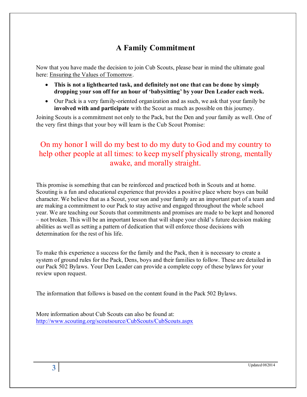# **A Family Commitment**

Now that you have made the decision to join Cub Scouts, please bear in mind the ultimate goal here: Ensuring the Values of Tomorrow.

- **This is not a lighthearted task, and definitely not one that can be done by simply dropping your son off for an hour of 'babysitting' by your Den Leader each week.**
- Our Pack is a very family-oriented organization and as such, we ask that your family be **involved with and participate** with the Scout as much as possible on this journey.

Joining Scouts is a commitment not only to the Pack, but the Den and your family as well. One of the very first things that your boy will learn is the Cub Scout Promise:

# On my honor I will do my best to do my duty to God and my country to help other people at all times: to keep myself physically strong, mentally awake, and morally straight.

This promise is something that can be reinforced and practiced both in Scouts and at home. Scouting is a fun and educational experience that provides a positive place where boys can build character. We believe that as a Scout, your son and your family are an important part of a team and are making a commitment to our Pack to stay active and engaged throughout the whole school year. We are teaching our Scouts that commitments and promises are made to be kept and honored – not broken. This will be an important lesson that will shape your child's future decision making abilities as well as setting a pattern of dedication that will enforce those decisions with determination for the rest of his life.

To make this experience a success for the family and the Pack, then it is necessary to create a system of ground rules for the Pack, Dens, boys and their families to follow. These are detailed in our Pack 502 Bylaws. Your Den Leader can provide a complete copy of these bylaws for your review upon request.

The information that follows is based on the content found in the Pack 502 Bylaws.

More information about Cub Scouts can also be found at: <http://www.scouting.org/scoutsource/CubScouts/CubScouts.aspx>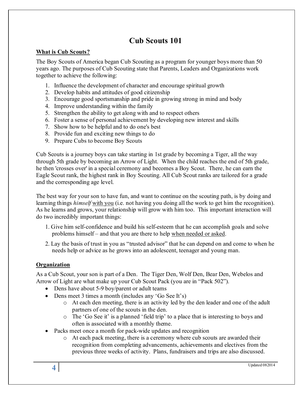# **Cub Scouts 101**

#### **What is Cub Scouts?**

The Boy Scouts of America began Cub Scouting as a program for younger boys more than 50 years ago. The purposes of Cub Scouting state that Parents, Leaders and Organizations work together to achieve the following:

- 1. Influence the development of character and encourage spiritual growth
- 2. Develop habits and attitudes of good citizenship
- 3. Encourage good sportsmanship and pride in growing strong in mind and body
- 4. Improve understanding within the family
- 5. Strengthen the ability to get along with and to respect others
- 6. Foster a sense of personal achievement by developing new interest and skills
- 7. Show how to be helpful and to do one's best
- 8. Provide fun and exciting new things to do
- 9. Prepare Cubs to become Boy Scouts

Cub Scouts is a journey boys can take starting in 1st grade by becoming a Tiger, all the way through 5th grade by becoming an Arrow of Light. When the child reaches the end of 5th grade, he then 'crosses over' in a special ceremony and becomes a Boy Scout. There, he can earn the Eagle Scout rank, the highest rank in Boy Scouting. All Cub Scout ranks are tailored for a grade and the corresponding age level.

The best way for your son to have fun, and want to continue on the scouting path, is by doing and learning things *himself* with you (i.e. not having you doing all the work to get him the recognition). As he learns and grows, your relationship will grow with him too. This important interaction will do two incredibly important things:

- 1. Give him self-confidence and build his self-esteem that he can accomplish goals and solve problems himself – and that you are there to help when needed or asked.
- 2. Lay the basis of trust in you as "trusted advisor" that he can depend on and come to when he needs help or advice as he grows into an adolescent, teenager and young man.

#### **Organization**

As a Cub Scout, your son is part of a Den. The Tiger Den, Wolf Den, Bear Den, Webelos and Arrow of Light are what make up your Cub Scout Pack (you are in "Pack 502").

- Dens have about 5-9 boy/parent or adult teams
- Dens meet 3 times a month (includes any 'Go See It's)
	- o At each den meeting, there is an activity led by the den leader and one of the adult partners of one of the scouts in the den.
	- o The 'Go See it' is a planned 'field trip' to a place that is interesting to boys and often is associated with a monthly theme.
- Packs meet once a month for pack-wide updates and recognition
	- o At each pack meeting, there is a ceremony where cub scouts are awarded their recognition from completing advancements, achievements and electives from the previous three weeks of activity. Plans, fundraisers and trips are also discussed.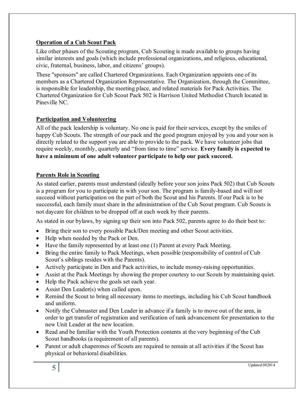#### **Operation of a Cub Scout Pack**

Like other phases of the Scouting program, Cub Scouting is made available to groups having similar interests and goals (which include professional organizations, and religious, educational, civic, fraternal, business, labor, and citizens' groups).

These "sponsors" are called Chartered Organizations. Each Organization appoints one of its members as a Chartered Organization Representative. The Organization, through the Committee, is responsible for leadership, the meeting place, and related materials for Pack Activities. The Chartered Organization for Cub Scout Pack 502 is Harrison United Methodist Church located in Pineville NC.

#### **Participation and Volunteering**

All of the pack leadership is voluntary. No one is paid for their services, except by the smiles of happy Cub Scouts. The strength of our pack and the good program enjoyed by you and your son is directly related to the support you are able to provide to the pack. We have volunteer jobs that require weekly, monthly, quarterly and "from time to time" service. **Every family is expected to have a minimum of one adult volunteer participate to help our pack succeed.**

#### **Parents Role in Scouting**

As stated earlier, parents must understand (ideally before your son joins Pack 502) that Cub Scouts is a program for you to participate in with your son. The program is family-based and will not succeed without participation on the part of both the Scout and his Parents. If our Pack is to be successful, each family must share in the administration of the Cub Scout program. Cub Scouts is not daycare for children to be dropped off at each week by their parents.

As stated in our bylaws, by signing up their son into Pack 502, parents agree to do their best to:

- Bring their son to every possible Pack/Den meeting and other Scout activities.
- Help when needed by the Pack or Den.
- Have the family represented by at least one (1) Parent at every Pack Meeting.
- Bring the entire family to Pack Meetings, when possible (responsibility of control of Cub Scout's siblings resides with the Parents).
- Actively participate in Den and Pack activities, to include money-raising opportunities.
- Assist at the Pack Meetings by showing the proper courtesy to our Scouts by maintaining quiet.
- Help the Pack achieve the goals set each year.
- Assist Den Leader(s) when called upon.
- Remind the Scout to bring all necessary items to meetings, including his Cub Scout handbook and uniform.
- Notify the Cubmaster and Den Leader in advance if a family is to move out of the area, in order to get transfer of registration and verification of rank advancement for presentation to the new Unit Leader at the new location.
- Read and be familiar with the Youth Protection contents at the very beginning of the Cub Scout handbooks (a requirement of all parents).
- Parent or adult chaperones of Scouts are required to remain at all activities if the Scout has physical or behavioral disabilities.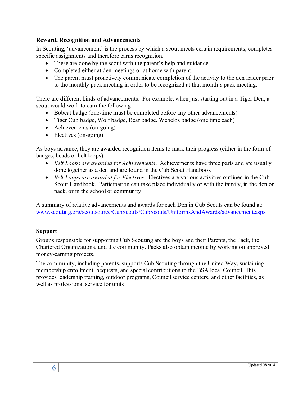#### **Reward, Recognition and Advancements**

In Scouting, 'advancement' is the process by which a scout meets certain requirements, completes specific assignments and therefore earns recognition.

- These are done by the scout with the parent's help and guidance.
- Completed either at den meetings or at home with parent.
- The parent must proactively communicate completion of the activity to the den leader prior to the monthly pack meeting in order to be recognized at that month's pack meeting.

There are different kinds of advancements. For example, when just starting out in a Tiger Den, a scout would work to earn the following:

- Bobcat badge (one-time must be completed before any other advancements)
- Tiger Cub badge, Wolf badge, Bear badge, Webelos badge (one time each)
- Achievements (on-going)
- Electives (on-going)

As boys advance, they are awarded recognition items to mark their progress (either in the form of badges, beads or belt loops).

- *Belt Loops are awarded for Achievements*. Achievements have three parts and are usually done together as a den and are found in the Cub Scout Handbook
- *Belt Loops are awarded for Electives*. Electives are various activities outlined in the Cub Scout Handbook. Participation can take place individually or with the family, in the den or pack, or in the school or community.

A summary of relative advancements and awards for each Den in Cub Scouts can be found at: [www.scouting.org/scoutsource/CubScouts/CubScouts/UniformsAndAwards/advancement.aspx](http://www.scouting.org/scoutsource/CubScouts/CubScouts/UniformsAndAwards/advancement.aspx)

#### **Support**

Groups responsible for supporting Cub Scouting are the boys and their Parents, the Pack, the Chartered Organizations, and the community. Packs also obtain income by working on approved money-earning projects.

The community, including parents, supports Cub Scouting through the United Way, sustaining membership enrollment, bequests, and special contributions to the BSA local Council. This provides leadership training, outdoor programs, Council service centers, and other facilities, as well as professional service for units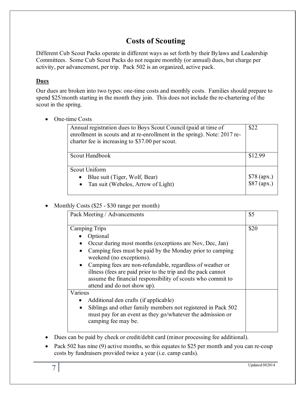# **Costs of Scouting**

Different Cub Scout Packs operate in different ways as set forth by their Bylaws and Leadership Committees. Some Cub Scout Packs do not require monthly (or annual) dues, but charge per activity, per advancement, per trip. Pack 502 is an organized, active pack.

#### **Dues**

Our dues are broken into two types: one-time costs and monthly costs. Families should prepare to spend \$25/month starting in the month they join. This does not include the re-chartering of the scout in the spring.

• One-time Costs

| Annual registration dues to Boys Scout Council (paid at time of<br>enrollment in scouts and at re-enrollment in the spring). Note: 2017 re-<br>charter fee is increasing to \$37.00 per scout. | \$22                         |
|------------------------------------------------------------------------------------------------------------------------------------------------------------------------------------------------|------------------------------|
| Scout Handbook                                                                                                                                                                                 | \$12.99                      |
| Scout Uniform<br>Blue suit (Tiger, Wolf, Bear)<br>$\bullet$<br>• Tan suit (Webelos, Arrow of Light)                                                                                            | $$78$ (apx.)<br>$$87$ (apx.) |

#### • Monthly Costs (\$25 - \$30 range per month)

| Pack Meeting / Advancements                                                                                                                                                                                                          | \$5  |
|--------------------------------------------------------------------------------------------------------------------------------------------------------------------------------------------------------------------------------------|------|
| <b>Camping Trips</b>                                                                                                                                                                                                                 | \$20 |
| Optional                                                                                                                                                                                                                             |      |
| Occur during most months (exceptions are Nov, Dec, Jan)                                                                                                                                                                              |      |
| Camping fees must be paid by the Monday prior to camping<br>$\bullet$<br>weekend (no exceptions).                                                                                                                                    |      |
| Camping fees are non-refundable, regardless of weather or<br>$\bullet$<br>illness (fees are paid prior to the trip and the pack cannot<br>assume the financial responsibility of scouts who commit to<br>attend and do not show up). |      |
| Various                                                                                                                                                                                                                              |      |
| Additional den crafts (if applicable)<br>$\bullet$                                                                                                                                                                                   |      |
| Siblings and other family members not registered in Pack 502<br>$\bullet$<br>must pay for an event as they go/whatever the admission or<br>camping fee may be.                                                                       |      |

• Dues can be paid by check or credit/debit card (minor processing fee additional).

• Pack 502 has nine (9) active months, so this equates to \$25 per month and you can re-coup costs by fundraisers provided twice a year (i.e. camp cards).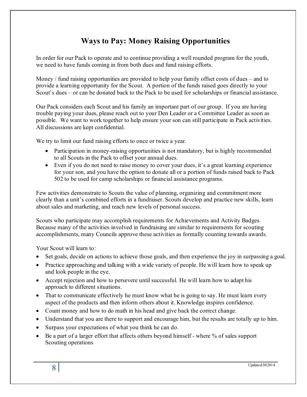# **Ways to Pay: Money Raising Opportunities**

In order for our Pack to operate and to continue providing a well rounded program for the youth, we need to have funds coming in from both dues and fund raising efforts.

Money / fund raising opportunities are provided to help your family offset costs of dues – and to provide a learning opportunity for the Scout. A portion of the funds raised goes directly to your Scout's dues – or can be donated back to the Pack to be used for scholarships or financial assistance.

Our Pack considers each Scout and his family an important part of our group. If you are having trouble paying your dues, please reach out to your Den Leader or a Committee Leader as soon as possible. We want to work together to help ensure your son can still participate in Pack activities. All discussions are kept confidential.

We try to limit our fund raising efforts to once or twice a year.

- Participation in money-raising opportunities is not mandatory, but is highly recommended to all Scouts in the Pack to offset your annual dues.
- Even if you do not need to raise money to cover your dues, it's a great learning experience for your son, and you have the option to donate all or a portion of funds raised back to Pack 502 to be used for camp scholarships or financial assistance programs.

Few activities demonstrate to Scouts the value of planning, organizing and commitment more clearly than a unit's combined efforts in a fundraiser. Scouts develop and practice new skills, learn about sales and marketing, and reach new levels of personal success.

Scouts who participate may accomplish requirements for Achievements and Activity Badges. Because many of the activities involved in fundraising are similar to requirements for scouting accomplishments, many Councils approve these activities as formally counting towards awards.

Your Scout will learn to:

- Set goals, decide on actions to achieve those goals, and then experience the joy in surpassing a goal.
- Practice approaching and talking with a wide variety of people. He will learn how to speak up and look people in the eye.
- Accept rejection and how to persevere until successful. He will learn how to adapt his approach to different situations.
- That to communicate effectively he must know what he is going to say. He must learn every aspect of the products and then inform others about it. Knowledge inspires confidence.
- Count money and how to do math in his head and give back the correct change.
- Understand that you are there to support and encourage him, but the results are totally up to him.
- Surpass your expectations of what you think he can do.
- Be a part of a larger effort that affects others beyond himself where % of sales support Scouting operations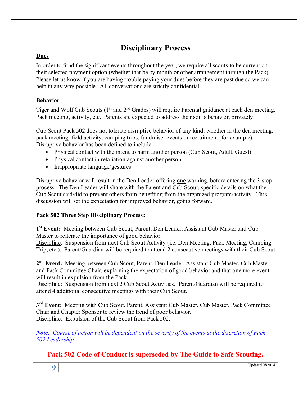# **Disciplinary Process**

#### **Dues**

In order to fund the significant events throughout the year, we require all scouts to be current on their selected payment option (whether that be by month or other arrangement through the Pack). Please let us know if you are having trouble paying your dues before they are past due so we can help in any way possible. All conversations are strictly confidential.

#### **Behavior**

Tiger and Wolf Cub Scouts (1<sup>st</sup> and 2<sup>nd</sup> Grades) will require Parental guidance at each den meeting, Pack meeting, activity, etc. Parents are expected to address their son's behavior, privately.

Cub Scout Pack 502 does not tolerate disruptive behavior of any kind, whether in the den meeting, pack meeting, field activity, camping trips, fundraiser events or recruitment (for example). Disruptive behavior has been defined to include:

- Physical contact with the intent to harm another person (Cub Scout, Adult, Guest)
- Physical contact in retaliation against another person
- Inappropriate language/gestures

Disruptive behavior will result in the Den Leader offering **one** warning, before entering the 3-step process. The Den Leader will share with the Parent and Cub Scout, specific details on what the Cub Scout said/did to prevent others from benefiting from the organized program/activity. This discussion will set the expectation for improved behavior, going forward.

#### **Pack 502 Three Step Disciplinary Process:**

**1st Event:** Meeting between Cub Scout, Parent, Den Leader, Assistant Cub Master and Cub Master to reiterate the importance of good behavior.

Discipline: Suspension from next Cub Scout Activity (i.e. Den Meeting, Pack Meeting, Camping Trip, etc.). Parent/Guardian will be required to attend 2 consecutive meetings with their Cub Scout.

**2nd Event:** Meeting between Cub Scout, Parent, Den Leader, Assistant Cub Master, Cub Master and Pack Committee Chair, explaining the expectation of good behavior and that one more event will result in expulsion from the Pack.

Discipline: Suspension from next 2 Cub Scout Activities. Parent/Guardian will be required to attend 4 additional consecutive meetings with their Cub Scout.

**3rd Event:** Meeting with Cub Scout, Parent, Assistant Cub Master, Cub Master, Pack Committee Chair and Chapter Sponsor to review the trend of poor behavior. Discipline: Expulsion of the Cub Scout from Pack 502.

*Note: Course of action will be dependent on the severity of the events at the discretion of Pack 502 Leadership*

#### **Pack 502 Code of Conduct is superseded by The Guide to Safe Scouting.**

**9** Updated 082014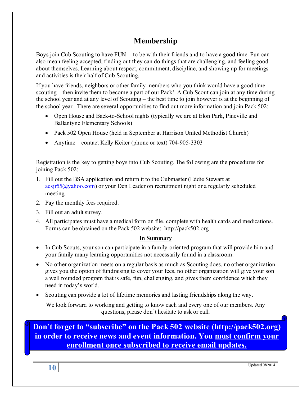# **Membership**

Boys join Cub Scouting to have FUN -- to be with their friends and to have a good time. Fun can also mean feeling accepted, finding out they can do things that are challenging, and feeling good about themselves. Learning about respect, commitment, discipline, and showing up for meetings and activities is their half of Cub Scouting.

If you have friends, neighbors or other family members who you think would have a good time scouting – then invite them to become a part of our Pack! A Cub Scout can join at any time during the school year and at any level of Scouting – the best time to join however is at the beginning of the school year. There are several opportunities to find out more information and join Pack 502:

- Open House and Back-to-School nights (typically we are at Elon Park, Pineville and Ballantyne Elementary Schools)
- Pack 502 Open House (held in September at Harrison United Methodist Church)
- Anytime contact Kelly Keiter (phone or text) 704-905-3303

Registration is the key to getting boys into Cub Scouting. The following are the procedures for joining Pack 502:

- 1. Fill out the BSA application and return it to the Cubmaster (Eddie Stewart at [aesjr55@yahoo.com\)](mailto:aesjr55@yahoo.com) or your Den Leader on recruitment night or a regularly scheduled meeting.
- 2. Pay the monthly fees required.
- 3. Fill out an adult survey.
- 4. All participates must have a medical form on file, complete with health cards and medications. Forms can be obtained on the Pack 502 website: http://pack502.org

#### **In Summary**

- In Cub Scouts, your son can participate in a family-oriented program that will provide him and your family many learning opportunities not necessarily found in a classroom.
- No other organization meets on a regular basis as much as Scouting does, no other organization gives you the option of fundraising to cover your fees, no other organization will give your son a well rounded program that is safe, fun, challenging, and gives them confidence which they need in today's world.
- Scouting can provide a lot of lifetime memories and lasting friendships along the way.

We look forward to working and getting to know each and every one of our members. Any questions, please don't hesitate to ask or call.

**Don't forget to "subscribe" on the Pack 502 website [\(http://pack502.org\)](http://pack502.org/) in order to receive news and event information. You must confirm your enrollment once subscribed to receive email updates.**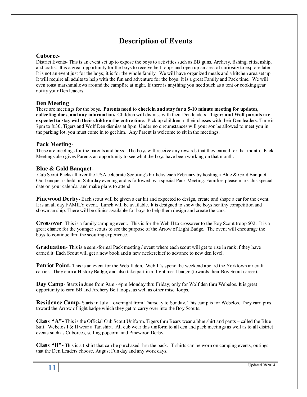# **Description of Events**

#### **Cuboree**-

District Events- This is an event set up to expose the boys to activities such as BB guns, Archery, fishing, citizenship, and crafts. It is a great opportunity for the boys to receive belt loops and open up an area of curiosity to explore later. It is not an event just for the boys; it is for the whole family. We will have organized meals and a kitchen area set up. It will require all adults to help with the fun and adventure for the boys. It is a great Family and Pack time. We will even roast marshmallows around the campfire at night. If there is anything you need such as a tent or cooking gear notify your Den leaders.

#### **Den Meeting**-

These are meetings for the boys. **Parents need to check in and stay for a 5-10 minute meeting for updates, collecting dues, and any information.** Children will dismiss with their Den leaders. **Tigers and Wolf parents are expected to stay with their children the entire time**. Pick up children in their classes with their Den leaders. Time is 7pm to 8:30, Tigers and Wolf Den dismiss at 8pm. Under no circumstances will your son be allowed to meet you in the parking lot, you must come in to get him. Any Parent is welcome to sit in the meetings.

#### **Pack Meeting**-

These are meetings for the parents and boys. The boys will receive any rewards that they earned for that month. Pack Meetings also gives Parents an opportunity to see what the boys have been working on that month.

#### **Blue & Gold Banquet**-

Cub Scout Packs all over the USA celebrate Scouting's birthday each February by hosting a Blue & Gold Banquet. Our banquet is held on Saturday evening and is followed by a special Pack Meeting. Families please mark this special date on your calendar and make plans to attend.

**Pinewood Derby**- Each scout will be given a car kit and expected to design, create and shape a car for the event. It is an all day FAMILY event. Lunch will be available. It is designed to show the boys healthy competition and showman ship. There will be clinics available for boys to help them design and create the cars.

**Crossover**- This is a family camping event. This is for the Web II to crossover to the Boy Scout troop 502. It is a great chance for the younger scouts to see the purpose of the Arrow of Light Badge. The event will encourage the boys to continue thru the scouting experience.

**Graduation**- This is a semi-formal Pack meeting / event where each scout will get to rise in rank if they have earned it. Each Scout will get a new book and a new neckerchief to advance to new den level.

**Patriot Point**- This is an event for the Web II den. Web II's spend the weekend aboard the Yorktown air craft carrier. They earn a History Badge, and also take part in a flight merit badge (towards their Boy Scout career).

**Day Camp**- Starts in June from 9am - 4pm Monday thru Friday; only for Wolf den thru Webelos. It is great opportunity to earn BB and Archery Belt loops, as well as other misc. loops.

**Residence Camp**- Starts in July – overnight from Thursday to Sunday. This camp is for Webelos. They earn pins toward the Arrow of light badge which they get to carry over into the Boy Scouts.

**Class "A"-** This is the Official Cub Scout Uniform. Tigers thru Bears wear a blue shirt and pants – called the Blue Suit. Webelos I & II wear a Tan shirt. All cub wear this uniform to all den and pack meetings as well as to all district events such as Cuborees, selling popcorn, and Pinewood Derby.

**Class "B"-** This is a t-shirt that can be purchased thru the pack. T-shirts can be worn on camping events, outings that the Den Leaders choose, August Fun day and any work days.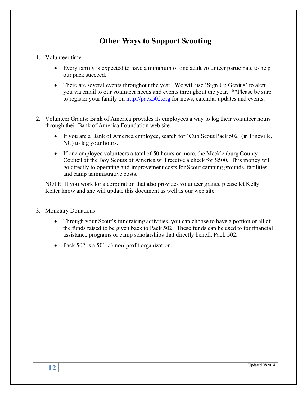# **Other Ways to Support Scouting**

- 1. Volunteer time
	- Every family is expected to have a minimum of one adult volunteer participate to help our pack succeed.
	- There are several events throughout the year. We will use 'Sign Up Genius' to alert you via email to our volunteer needs and events throughout the year. \*\*Please be sure to register your family on [http://pack502.org](http://pack502.org/) for news, calendar updates and events.
- 2. Volunteer Grants: Bank of America provides its employees a way to log their volunteer hours through their Bank of America Foundation web site.
	- If you are a Bank of America employee, search for 'Cub Scout Pack 502' (in Pineville, NC) to log your hours.
	- If one employee volunteers a total of 50 hours or more, the Mecklenburg County Council of the Boy Scouts of America will receive a check for \$500. This money will go directly to operating and improvement costs for Scout camping grounds, facilities and camp administrative costs.

NOTE: If you work for a corporation that also provides volunteer grants, please let Kelly Keiter know and she will update this document as well as our web site.

- 3. Monetary Donations
	- Through your Scout's fundraising activities, you can choose to have a portion or all of the funds raised to be given back to Pack 502. These funds can be used to for financial assistance programs or camp scholarships that directly benefit Pack 502.
	- Pack 502 is a 501-c3 non-profit organization.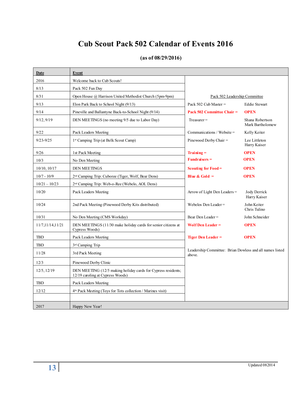# **Cub Scout Pack 502 Calendar of Events 2016**

| Date               | Event                                                                                             |                                                                    |                                     |
|--------------------|---------------------------------------------------------------------------------------------------|--------------------------------------------------------------------|-------------------------------------|
| 2016               | Welcome back to Cub Scouts!                                                                       |                                                                    |                                     |
| 8/13               | Pack 502 Fun Day                                                                                  |                                                                    |                                     |
| 8/31               | Open House @ Harrison United Methodist Church (5pm-9pm)                                           | Pack 502 Leadership Committee                                      |                                     |
| 9/13               | Elon Park Back to School Night (9/13)                                                             | Pack 502 Cub Master $=$                                            | <b>Eddie Stewart</b>                |
| 9/14               | Pineville and Ballantyne Back-to-School Night (9/14)                                              | Pack 502 Committee Chair =                                         | <b>OPEN</b>                         |
| 9/12, 9/19         | DEN MEETINGS (no meeting 9/5 due to Labor Day)                                                    | $T$ reasurer =                                                     | Shana Robertson<br>Mark Bartholomew |
| 9/22               | Pack Leaders Meeting                                                                              | Communications / Website =                                         | Kelly Keiter                        |
| $9/23 - 9/25$      | 1st Camping Trip (at Belk Scout Camp)                                                             | Pinewood Derby Chair =                                             | Lee Littleton<br>Harry Kaiser       |
| 9/26               | 1st Pack Meeting                                                                                  | $Trainng =$                                                        | <b>OPEN</b>                         |
| 10/3               | No Den Meeting                                                                                    | <b>Fundraisers =</b>                                               | <b>OPEN</b>                         |
| $10/10$ , $10/17$  | <b>DEN MEETINGS</b>                                                                               | Scouting for $Food =$                                              | <b>OPEN</b>                         |
| $10/7 - 10/9$      | 2 <sup>nd</sup> Camping Trip: Cuboree (Tiger, Wolf, Bear Dens)                                    | Blue & Gold $=$                                                    | <b>OPEN</b>                         |
| $10/21 - 10/23$    | 2 <sup>nd</sup> Camping Trip: Web-o-Ree (Webelo, AOL Dens)                                        |                                                                    |                                     |
| 10/20              | Pack Leaders Meeting                                                                              | Arrow of Light Den Leaders =                                       | Jody Derrick<br>Harry Kaiser        |
| 10/24              | 2nd Pack Meeting (Pinewood Derby Kits distributed)                                                | Webelos Den Leader =                                               | John Keiter<br>Chris Tulino         |
| 10/31              | No Den Meeting (CMS Workday)                                                                      | Bear Den Leader =                                                  | John Schneider                      |
| 11/7, 11/14, 11/21 | DEN MEETINGS (11/30 make holiday cards for senior citizens at<br>Cypress Woods)                   | <b>Wolf Den Leader =</b>                                           | <b>OPEN</b>                         |
| <b>TBD</b>         | Pack Leaders Meeting                                                                              | <b>Tiger Den Leader =</b>                                          | <b>OPEN</b>                         |
| <b>TBD</b>         | 3 <sup>rd</sup> Camping Trip                                                                      |                                                                    |                                     |
| 11/28              | 3rd Pack Meeting                                                                                  | Leadership Committee: Brian Dowless and all names listed<br>above. |                                     |
| 12/3               | Pinewood Derby Clinic                                                                             |                                                                    |                                     |
| 12/5, 12/19        | DEN MEETING (12/5 making holiday cards for Cypress residents;<br>12/19 caroling at Cypress Woods) |                                                                    |                                     |
| <b>TBD</b>         | Pack Leaders Meeting                                                                              |                                                                    |                                     |
| 12/12              | 4 <sup>th</sup> Pack Meeting (Toys for Tots collection / Marines visit)                           |                                                                    |                                     |
| 2017               | Happy New Year!                                                                                   |                                                                    |                                     |

### **(as of 08/29/2016)**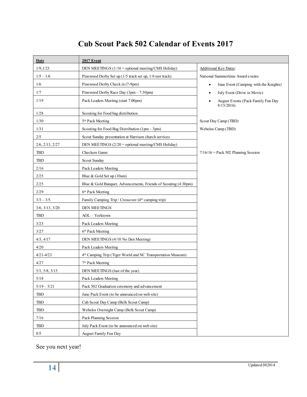# **Cub Scout Pack 502 Calendar of Events 2017**

| Date                    | <b>2017 Event</b>                                                       |                                                    |
|-------------------------|-------------------------------------------------------------------------|----------------------------------------------------|
| 1/9, 1/23               | DEN MEETINGS (1/16 = optional meeting/CMS Holiday)                      | <b>Additional Key Dates:</b>                       |
| $1/5 - 1/6$             | Pinewood Derby Set up (1/5 track set up, 1/6 test track)                | National Summertime Award events:                  |
| 1/6                     | Pinewood Derby Check in (7-9pm)                                         | June Event (Camping with the Knights)<br>$\bullet$ |
| 1/7                     | Pinewood Derby Race Day (3pm - 7:30pm)                                  | July Event (Drive in Movie)                        |
| 1/19                    | Pack Leaders Meeting (start 7:00pm)                                     | August Events (Pack Family Fun Day<br>8/15/2016    |
| 1/28                    | Scouting for Food bag distribution                                      |                                                    |
| 1/30                    | 5 <sup>th</sup> Pack Meeting                                            | Scout Day Camp (TBD)                               |
| 1/31                    | Scouting for Food Bag Distribution $(1pm - 3pm)$                        | Webelos Camp (TBD)                                 |
| 2/5                     | Scout Sunday presentation at Harrison church services                   |                                                    |
| $2/6$ , $2/13$ , $2/27$ | DEN MEETINGS (2/20 = optional meeting/CMS Holiday)                      |                                                    |
| <b>TBD</b>              | Checkers Game                                                           | $7/16/16$ = Pack 502 Planning Session              |
| <b>TBD</b>              | Scout Sunday                                                            |                                                    |
| 2/16                    | Pack Leaders Meeting                                                    |                                                    |
| 2/25                    | Blue & Gold Set up (10am)                                               |                                                    |
| 2/25                    | Blue & Gold Banquet, Advancements, Friends of Scouting (4:30pm)         |                                                    |
| 2/29                    | 6 <sup>th</sup> Pack Meeting                                            |                                                    |
| $3/3 - 3/5$             | Family Camping Trip / Crossover (4 <sup>th</sup> camping trip)          |                                                    |
| 3/6, 3/13, 3/20         | <b>DEN MEETINGS</b>                                                     |                                                    |
| TBD                     | AOL - Yorktown                                                          |                                                    |
| 3/23                    | Pack Leaders Meeting                                                    |                                                    |
| 3/27                    | 6 <sup>th</sup> Pack Meeting                                            |                                                    |
| 4/3, 4/17               | DEN MEETINGS (4/10 No Den Meeting)                                      |                                                    |
| 4/20                    | Pack Leaders Meeting                                                    |                                                    |
| $4/21 - 4/23$           | 4 <sup>th</sup> Camping Trip (Tiger World and NC Transportation Museum) |                                                    |
| 4/27                    | 7 <sup>th</sup> Pack Meeting                                            |                                                    |
| 5/1, 5/8, 5/15          | DEN MEETINGS (last of the year)                                         |                                                    |
| $5/18$                  | Pack Leaders Meeting                                                    |                                                    |
| $5/19 - 5/21$           | Pack 502 Graduation ceremony and advancement                            |                                                    |
| <b>TBD</b>              | June Pack Event (to be announced on web site)                           |                                                    |
| TBD                     | Cub Scout Day Camp (Belk Scout Camp)                                    |                                                    |
| <b>TBD</b>              | Webelos Overnight Camp (Belk Scout Camp)                                |                                                    |
| $7/16$                  | Pack Planning Session                                                   |                                                    |
| <b>TBD</b>              | July Pack Event (to be announced on web site)                           |                                                    |
| $8/5$                   | August Family Fun Day                                                   |                                                    |

See you next year!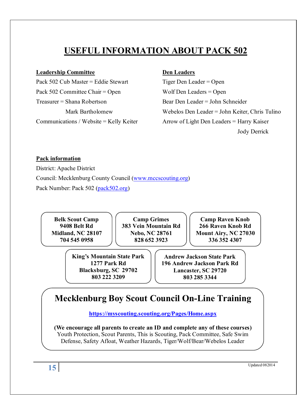# **USEFUL INFORMATION ABOUT PACK 502**

#### **Leadership Committee Den Leaders**

Pack 502 Cub Master = Eddie Stewart Tiger Den Leader = Open Pack 502 Committee Chair = Open Wolf Den Leaders = Open Treasurer = Shana Robertson Bear Den Leader = John Schneider

Mark Bartholomew Webelos Den Leader = John Keiter, Chris Tulino Communications / Website = Kelly Keiter Arrow of Light Den Leaders = Harry Kaiser Jody Derrick

#### **Pack information**

District: Apache District Council: Mecklenburg County Council (www.mccscouting.org) Pack Number: Pack 502 (pack 502.org)

**Belk Scout Camp 9408 Belt Rd Midland, NC 28107 704 545 0958**

**Camp Grimes 383 Vein Mountain Rd Nebo, NC 28761 828 652 3923**

**Camp Raven Knob 266 Raven Knob Rd Mount Airy, NC 27030 336 352 4307**

**King's Mountain State Park 1277 Park Rd Blacksburg, SC 29702 803 222 3209**

**Andrew Jackson State Park 196 Andrew Jackson Park Rd Lancaster, SC 29720 803 285 3344**

# **Mecklenburg Boy Scout Council On-Line Training**

**<https://myscouting.scouting.org/Pages/Home.aspx>**

**(We encourage all parents to create an ID and complete any of these courses)** Youth Protection, Scout Parents, This is Scouting, Pack Committee, Safe Swim Defense, Safety Afloat, Weather Hazards, Tiger/Wolf/Bear/Webelos Leader

**15** Updated 082014